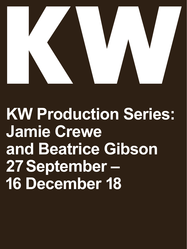

**KW Production Series: Jamie Crewe and Beatrice Gibson 27 September – 16 December 18**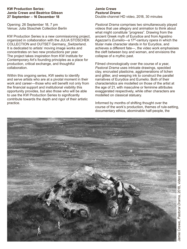## **KW Production Series: Jamie Crewe and Beatrice Gibson 27 September – 16 December 18**

Opening: 26 September 18, 7 pm Venue: Julia Stoschek Collection Berlin

KW Production Series is a new commissioning project, organized in collaboration with the JULIA STOSCHEK COLLECTION and OUTSET Germany\_Switzerland. It is dedicated to artists' moving image works and concentrates on two new productions per year. The project takes inspiration from KW Institute for Contemporary Art's founding principles as a place for production, critical exchange, and thoughtful collaboration.

Within this ongoing series, KW seeks to identify and serve artists who are at a pivotal moment in their work and career—those who will benefit not only from the financial support and institutional visibility this opportunity provides, but also those who will be able to use the KW Production Series to significantly contribute towards the depth and rigor of their artistic practice.

### **Jamie Crewe** *Pastoral Drama* Double-channel HD video, 2018, 30 minutes

*Pastoral Drama* comprises two simultaneously played videos that use allegory and animation to think about what might constitute "progress". Drawing from the ancient Greek myth of Eurydice and from Agostino Agazzari's *Eumelio*—a 17<sup>th</sup>-century opera in which the titular male character stands in for Eurydice, and achieves a different fate—, the video work emphasises the cleft between boy and woman, and envisions the collapse of a mythic past.

Filmed chronologically over the course of a year, *Pastoral Drama* uses intricate drawings, speckled clay, encrusted plasticine, agglomerations of lichen and glitter, and weeping ink to construct the parallel narratives of Eurydice and Eumelio. Both of their characteristics are modelled on those of the artist at the age of 21, with masculine or feminine attributes exaggerated respectively, while other characters are modelled on classical statuary.

Informed by months of shifting thought over the course of the work's production, themes of rule-setting, documentary ethics, abominable half-people, the

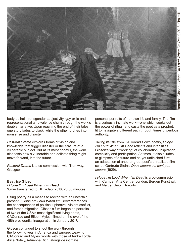

body as hell, transgender subjectivity, gay exile and representational ambivalence churn through the work's double narrative. Upon reaching the end of their tales, one story fades to black, while the other lurches into nonsense and disaster.

*Pastoral Drama* explores forms of vision and knowledge that trigger disaster or the erasure of a vulnerable subject. But at its most hopeful, the work also tests how a vulnerable and delicate thing might move forward, into the future.

*Pastoral Drama* is a co-commission with Tramway, Glasgow.

# **Beatrice Gibson** *I Hope I'm Loud When I'm Dead*

16mm transferred to HD video, 2018, 20:50 minutes

Using poetry as a means to reckon with an uncertain present, *I Hope I'm Loud When I'm Dead* references the consequences of political upheaval, violent conflict, and forced migration. Gibson's film began as portraits of two of the USA's most significant living poets, CAConrad and Eileen Myles, filmed on the eve of the 45th presidential inauguration in January 2017.

Gibson continued to shoot the work through the following year in America and Europe, weaving CAConrad and Myles' words with those of Audre Lorde, Alice Notely, Adrienne Rich, alongside intimate

personal portraits of her own life and family. The film is a curiously intimate work—one which seeks out the power of ritual, and casts the poet as a prophet, fit to navigate a different path through times of perilous authority.

Taking its title from CAConrad's own poetry, *I Hope I'm Loud When I'm Dead* reflects and intensifies Gibson's way of working: of collaboration, inspiration, complicity and participation. At times, it also alludes to glimpses of a future and as-yet unfinished film: an adaptation of another great poet's unrealised film script, Gertrude Stein's *Deux soeurs qui sont pas soeurs* (1929).

*I Hope I'm Loud When I'm Dead* is a co-commission with Camden Arts Centre, London, Bergen Kunsthall, and Mercer Union, Toronto.